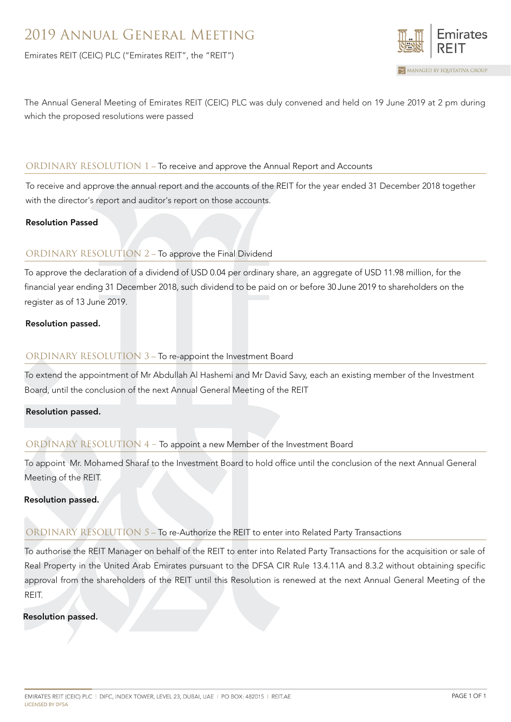Emirates REIT (CEIC) PLC ("Emirates REIT", the "REIT")



The Annual General Meeting of Emirates REIT (CEIC) PLC was duly convened and held on 19 June 2019 at 2 pm during which the proposed resolutions were passed

# ORDINARY RESOLUTION 1 – To receive and approve the Annual Report and Accounts

To receive and approve the annual report and the accounts of the REIT for the year ended 31 December 2018 together with the director's report and auditor's report on those accounts.

#### Resolution Passed

# ORDINARY RESOLUTION 2 – To approve the Final Dividend

To approve the declaration of a dividend of USD 0.04 per ordinary share, an aggregate of USD 11.98 million, for the financial year ending 31 December 2018, such dividend to be paid on or before 30 June 2019 to shareholders on the register as of 13 June 2019.

## Resolution passed.

# ORDINARY RESOLUTION 3 – To re-appoint the Investment Board

To extend the appointment of Mr Abdullah Al Hashemi and Mr David Savy, each an existing member of the Investment Board, until the conclusion of the next Annual General Meeting of the REIT

## Resolution passed.

# ORDINARY RESOLUTION 4 – To appoint a new Member of the Investment Board

To appoint Mr. Mohamed Sharaf to the Investment Board to hold office until the conclusion of the next Annual General Meeting of the REIT.

#### Resolution passed.

## ORDINARY RESOLUTION 5 – To re-Authorize the REIT to enter into Related Party Transactions

To authorise the REIT Manager on behalf of the REIT to enter into Related Party Transactions for the acquisition or sale of Real Property in the United Arab Emirates pursuant to the DFSA CIR Rule 13.4.11A and 8.3.2 without obtaining specific approval from the shareholders of the REIT until this Resolution is renewed at the next Annual General Meeting of the REIT.

## Resolution passed.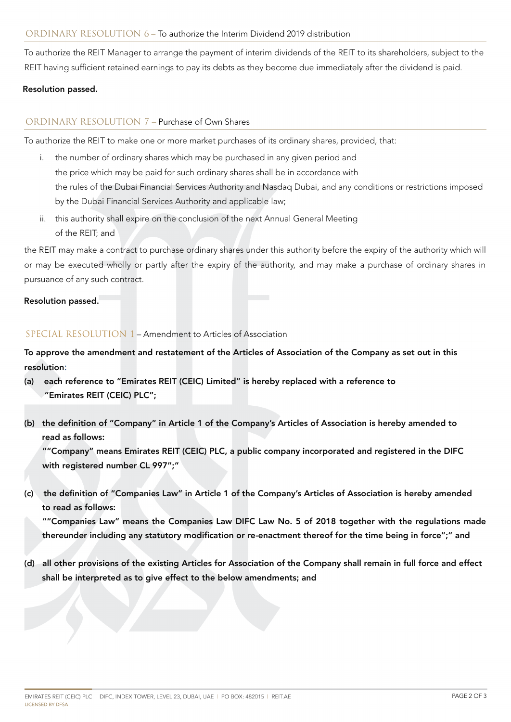To authorize the REIT Manager to arrange the payment of interim dividends of the REIT to its shareholders, subject to the REIT having sufficient retained earnings to pay its debts as they become due immediately after the dividend is paid.

# Resolution passed.

# ORDINARY RESOLUTION 7 – Purchase of Own Shares

To authorize the REIT to make one or more market purchases of its ordinary shares, provided, that:

- i. the number of ordinary shares which may be purchased in any given period and the price which may be paid for such ordinary shares shall be in accordance with the rules of the Dubai Financial Services Authority and Nasdaq Dubai, and any conditions or restrictions imposed by the Dubai Financial Services Authority and applicable law;
- ii. this authority shall expire on the conclusion of the next Annual General Meeting of the REIT; and

the REIT may make a contract to purchase ordinary shares under this authority before the expiry of the authority which will or may be executed wholly or partly after the expiry of the authority, and may make a purchase of ordinary shares in pursuance of any such contract.

## Resolution passed.

## SPECIAL RESOLUTION 1 – Amendment to Articles of Association

To approve the amendment and restatement of the Articles of Association of the Company as set out in this resolution:

- (a) each reference to "Emirates REIT (CEIC) Limited" is hereby replaced with a reference to "Emirates REIT (CEIC) PLC";
- (b) the definition of "Company" in Article 1 of the Company's Articles of Association is hereby amended to read as follows:

""Company" means Emirates REIT (CEIC) PLC, a public company incorporated and registered in the DIFC with registered number CL 997";"

(c) the definition of "Companies Law" in Article 1 of the Company's Articles of Association is hereby amended to read as follows:

""Companies Law" means the Companies Law DIFC Law No. 5 of 2018 together with the regulations made thereunder including any statutory modification or re-enactment thereof for the time being in force";" and

(d) all other provisions of the existing Articles for Association of the Company shall remain in full force and effect shall be interpreted as to give effect to the below amendments; and